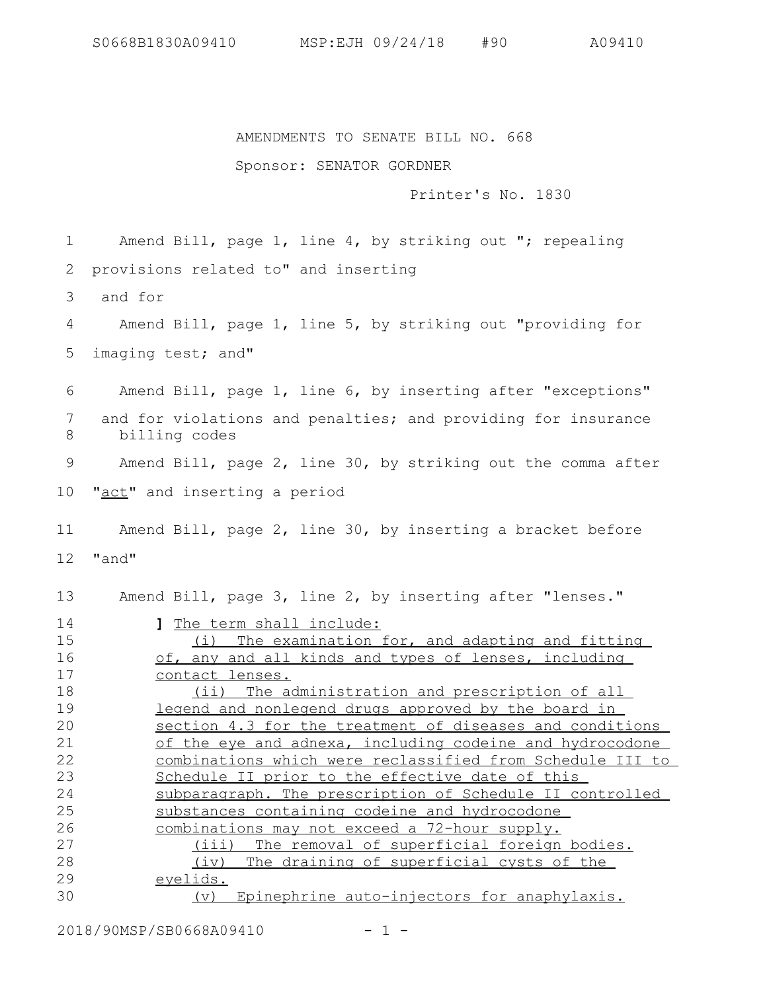AMENDMENTS TO SENATE BILL NO. 668

## Sponsor: SENATOR GORDNER

Printer's No. 1830

Amend Bill, page 1, line 4, by striking out "; repealing provisions related to" and inserting 1 2

 and for 3

Amend Bill, page 1, line 5, by striking out "providing for imaging test; and" 4 5

Amend Bill, page 1, line 6, by inserting after "exceptions" and for violations and penalties; and providing for insurance billing codes Amend Bill, page 2, line 30, by striking out the comma after 6 7 8 9

"act" and inserting a period 10

Amend Bill, page 2, line 30, by inserting a bracket before "and" 11 12

Amend Bill, page 3, line 2, by inserting after "lenses." **]** The term shall include: 13 14

(i) The examination for, and adapting and fitting of, any and all kinds and types of lenses, including contact lenses. (ii) The administration and prescription of all legend and nonlegend drugs approved by the board in section 4.3 for the treatment of diseases and conditions of the eye and adnexa, including codeine and hydrocodone combinations which were reclassified from Schedule III to Schedule II prior to the effective date of this subparagraph. The prescription of Schedule II controlled substances containing codeine and hydrocodone combinations may not exceed a 72-hour supply. (iii) The removal of superficial foreign bodies. (iv) The draining of superficial cysts of the eyelids. (v) Epinephrine auto-injectors for anaphylaxis. 15 16 17 18 19 20 21 22 23 24 25 26 27 28 29 30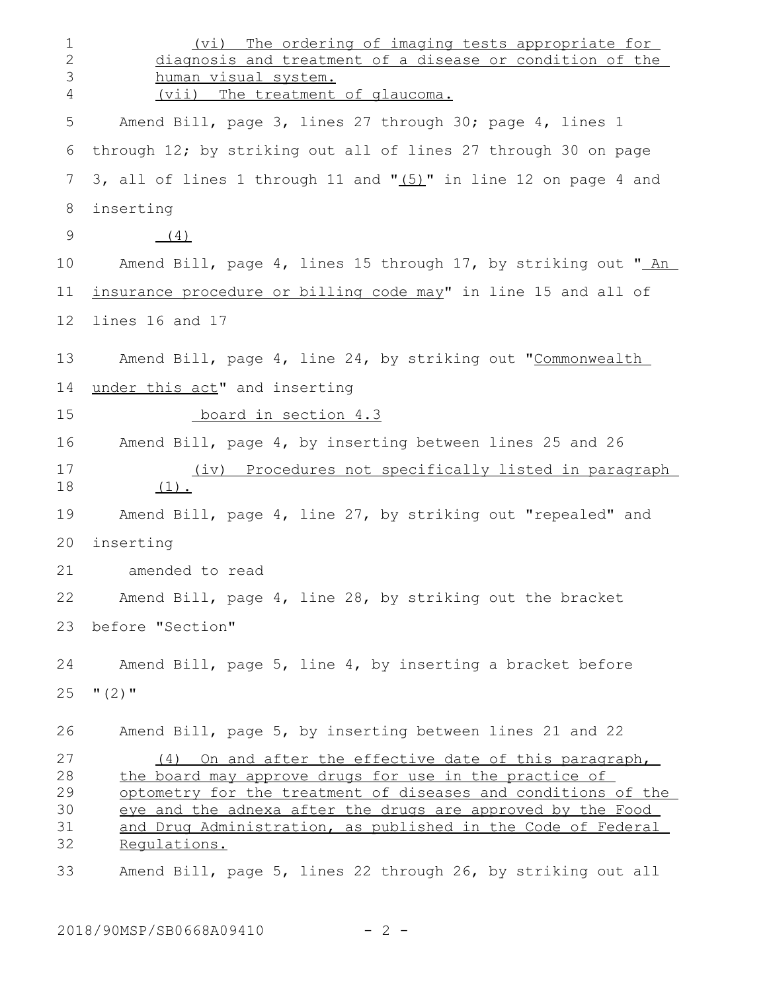(vi) The ordering of imaging tests appropriate for diagnosis and treatment of a disease or condition of the human visual system. (vii) The treatment of glaucoma. Amend Bill, page 3, lines 27 through 30; page 4, lines 1 through 12; by striking out all of lines 27 through 30 on page 3, all of lines 1 through 11 and " $(5)$ " in line 12 on page 4 and inserting  $(4)$ Amend Bill, page 4, lines 15 through 17, by striking out " An insurance procedure or billing code may" in line 15 and all of lines 16 and 17 Amend Bill, page 4, line 24, by striking out "Commonwealth under this act" and inserting board in section 4.3 Amend Bill, page 4, by inserting between lines 25 and 26 (iv) Procedures not specifically listed in paragraph  $(1)$ . Amend Bill, page 4, line 27, by striking out "repealed" and inserting amended to read Amend Bill, page 4, line 28, by striking out the bracket before "Section" Amend Bill, page 5, line 4, by inserting a bracket before  $"$  (2)  $"$ Amend Bill, page 5, by inserting between lines 21 and 22 (4) On and after the effective date of this paragraph, the board may approve drugs for use in the practice of optometry for the treatment of diseases and conditions of the eye and the adnexa after the drugs are approved by the Food and Drug Administration, as published in the Code of Federal Regulations. Amend Bill, page 5, lines 22 through 26, by striking out all 1 2 3 4 5 6 7 8 9 10 11 12 13 14 15 16 17 18 19 20 21 22 23 24 25 26 27 28 29 30 31 32 33